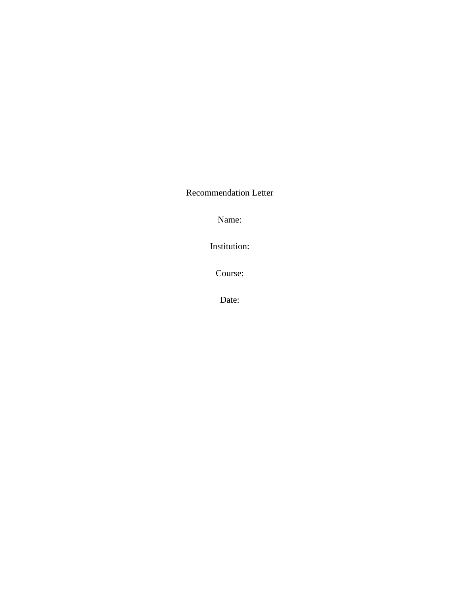Recommendation Letter

Name:

Institution:

Course:

Date: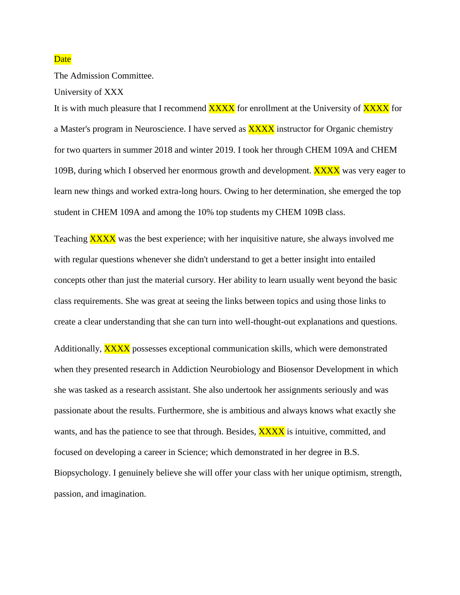## **Date**

The Admission Committee.

University of XXX

It is with much pleasure that I recommend **XXXX** for enrollment at the University of **XXXX** for a Master's program in Neuroscience. I have served as **XXXX** instructor for Organic chemistry for two quarters in summer 2018 and winter 2019. I took her through CHEM 109A and CHEM 109B, during which I observed her enormous growth and development. **XXXX** was very eager to learn new things and worked extra-long hours. Owing to her determination, she emerged the top student in CHEM 109A and among the 10% top students my CHEM 109B class.

Teaching **XXXX** was the best experience; with her inquisitive nature, she always involved me with regular questions whenever she didn't understand to get a better insight into entailed concepts other than just the material cursory. Her ability to learn usually went beyond the basic class requirements. She was great at seeing the links between topics and using those links to create a clear understanding that she can turn into well-thought-out explanations and questions.

Additionally, **XXXX** possesses exceptional communication skills, which were demonstrated when they presented research in Addiction Neurobiology and Biosensor Development in which she was tasked as a research assistant. She also undertook her assignments seriously and was passionate about the results. Furthermore, she is ambitious and always knows what exactly she wants, and has the patience to see that through. Besides, **XXXX** is intuitive, committed, and focused on developing a career in Science; which demonstrated in her degree in B.S. Biopsychology. I genuinely believe she will offer your class with her unique optimism, strength, passion, and imagination.